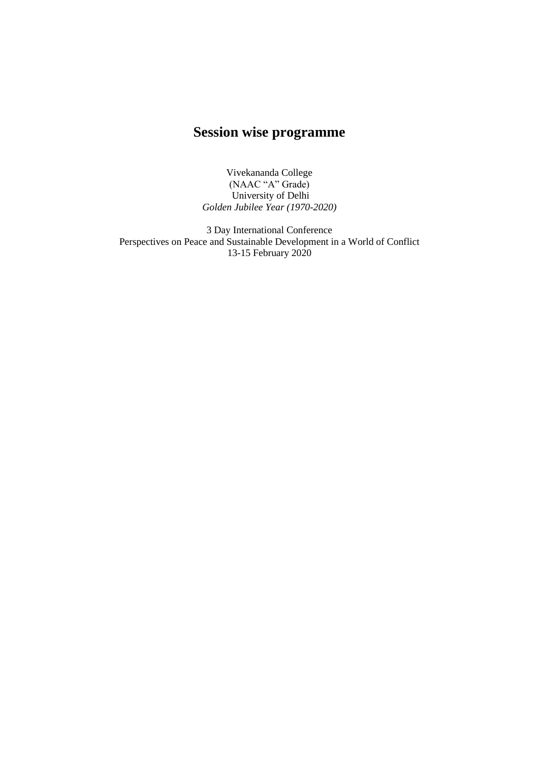## **Session wise programme**

Vivekananda College (NAAC "A" Grade) University of Delhi *Golden Jubilee Year (1970-2020)*

3 Day International Conference Perspectives on Peace and Sustainable Development in a World of Conflict 13-15 February 2020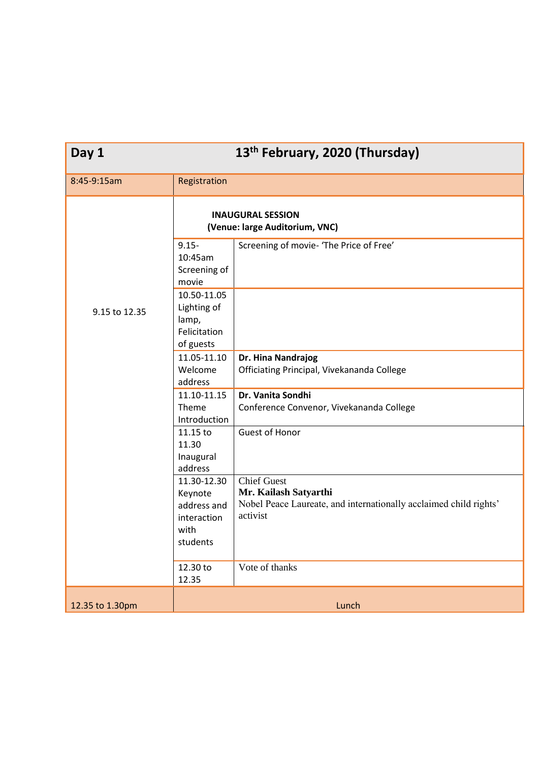| Day 1           | 13 <sup>th</sup> February, 2020 (Thursday)                               |                                                                                                                              |  |  |
|-----------------|--------------------------------------------------------------------------|------------------------------------------------------------------------------------------------------------------------------|--|--|
| 8:45-9:15am     | Registration                                                             |                                                                                                                              |  |  |
|                 | <b>INAUGURAL SESSION</b><br>(Venue: large Auditorium, VNC)               |                                                                                                                              |  |  |
| 9.15 to 12.35   | $9.15 -$<br>10:45am<br>Screening of<br>movie                             | Screening of movie- 'The Price of Free'                                                                                      |  |  |
|                 | 10.50-11.05<br>Lighting of<br>lamp,<br>Felicitation<br>of guests         |                                                                                                                              |  |  |
|                 | 11.05-11.10<br>Welcome<br>address                                        | Dr. Hina Nandrajog<br>Officiating Principal, Vivekananda College                                                             |  |  |
|                 | 11.10-11.15<br>Theme<br>Introduction                                     | Dr. Vanita Sondhi<br>Conference Convenor, Vivekananda College                                                                |  |  |
|                 | 11.15 to<br>11.30<br>Inaugural<br>address                                | <b>Guest of Honor</b>                                                                                                        |  |  |
|                 | 11.30-12.30<br>Keynote<br>address and<br>interaction<br>with<br>students | <b>Chief Guest</b><br>Mr. Kailash Satyarthi<br>Nobel Peace Laureate, and internationally acclaimed child rights'<br>activist |  |  |
|                 | 12.30 to<br>12.35                                                        | Vote of thanks                                                                                                               |  |  |
| 12.35 to 1.30pm | Lunch                                                                    |                                                                                                                              |  |  |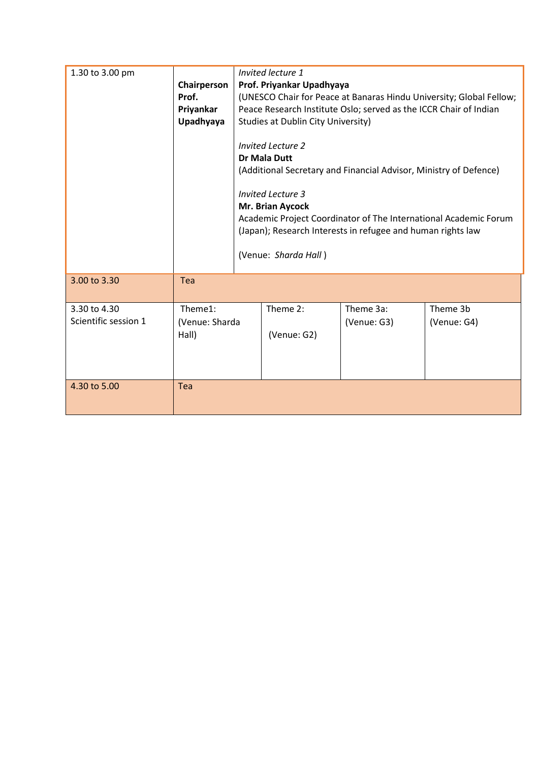| 1.30 to 3.00 pm                      | Chairperson<br>Prof.<br>Priyankar<br>Upadhyaya | Invited lecture 1<br>Prof. Priyankar Upadhyaya<br>(UNESCO Chair for Peace at Banaras Hindu University; Global Fellow;<br>Peace Research Institute Oslo; served as the ICCR Chair of Indian<br><b>Studies at Dublin City University)</b><br><b>Invited Lecture 2</b><br><b>Dr Mala Dutt</b><br>(Additional Secretary and Financial Advisor, Ministry of Defence)<br><b>Invited Lecture 3</b><br>Mr. Brian Aycock<br>Academic Project Coordinator of The International Academic Forum<br>(Japan); Research Interests in refugee and human rights law<br>(Venue: Sharda Hall) |                         |                          |                         |
|--------------------------------------|------------------------------------------------|----------------------------------------------------------------------------------------------------------------------------------------------------------------------------------------------------------------------------------------------------------------------------------------------------------------------------------------------------------------------------------------------------------------------------------------------------------------------------------------------------------------------------------------------------------------------------|-------------------------|--------------------------|-------------------------|
| 3.00 to 3.30                         | Tea                                            |                                                                                                                                                                                                                                                                                                                                                                                                                                                                                                                                                                            |                         |                          |                         |
| 3.30 to 4.30<br>Scientific session 1 | Theme1:<br>(Venue: Sharda<br>Hall)             |                                                                                                                                                                                                                                                                                                                                                                                                                                                                                                                                                                            | Theme 2:<br>(Venue: G2) | Theme 3a:<br>(Venue: G3) | Theme 3b<br>(Venue: G4) |
| 4.30 to 5.00                         | Tea                                            |                                                                                                                                                                                                                                                                                                                                                                                                                                                                                                                                                                            |                         |                          |                         |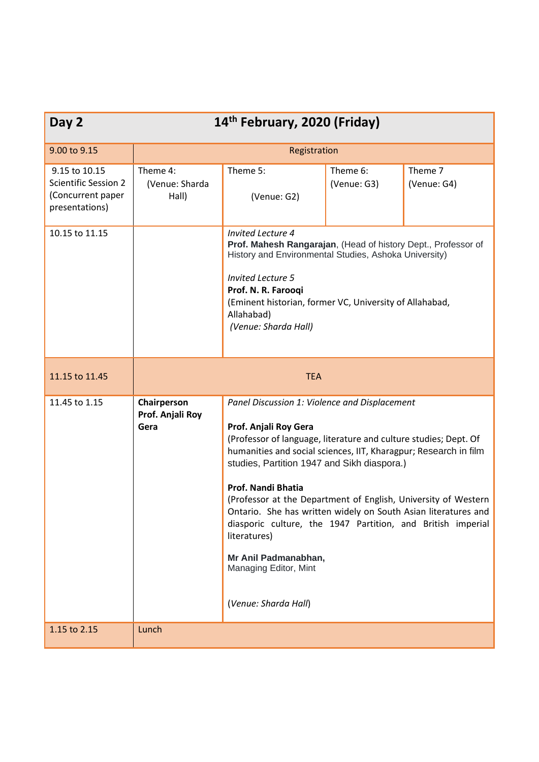| Day 2                                                                               | 14 <sup>th</sup> February, 2020 (Friday) |                                                                                                                                                                                                                                                                                                                                                                                                                                                                                                                                                                                        |                         |                        |
|-------------------------------------------------------------------------------------|------------------------------------------|----------------------------------------------------------------------------------------------------------------------------------------------------------------------------------------------------------------------------------------------------------------------------------------------------------------------------------------------------------------------------------------------------------------------------------------------------------------------------------------------------------------------------------------------------------------------------------------|-------------------------|------------------------|
| 9.00 to 9.15                                                                        | Registration                             |                                                                                                                                                                                                                                                                                                                                                                                                                                                                                                                                                                                        |                         |                        |
| 9.15 to 10.15<br><b>Scientific Session 2</b><br>(Concurrent paper<br>presentations) | Theme 4:<br>(Venue: Sharda<br>Hall)      | Theme 5:<br>(Venue: G2)                                                                                                                                                                                                                                                                                                                                                                                                                                                                                                                                                                | Theme 6:<br>(Venue: G3) | Theme 7<br>(Venue: G4) |
| 10.15 to 11.15                                                                      |                                          | <b>Invited Lecture 4</b><br>Prof. Mahesh Rangarajan, (Head of history Dept., Professor of<br>History and Environmental Studies, Ashoka University)<br><b>Invited Lecture 5</b><br>Prof. N. R. Farooqi<br>(Eminent historian, former VC, University of Allahabad,<br>Allahabad)<br>(Venue: Sharda Hall)                                                                                                                                                                                                                                                                                 |                         |                        |
| 11.15 to 11.45                                                                      | <b>TEA</b>                               |                                                                                                                                                                                                                                                                                                                                                                                                                                                                                                                                                                                        |                         |                        |
| 11.45 to 1.15                                                                       | Chairperson<br>Prof. Anjali Roy<br>Gera  | Panel Discussion 1: Violence and Displacement<br>Prof. Anjali Roy Gera<br>(Professor of language, literature and culture studies; Dept. Of<br>humanities and social sciences, IIT, Kharagpur; Research in film<br>studies, Partition 1947 and Sikh diaspora.)<br><b>Prof. Nandi Bhatia</b><br>(Professor at the Department of English, University of Western<br>Ontario. She has written widely on South Asian literatures and<br>diasporic culture, the 1947 Partition, and British imperial<br>literatures)<br>Mr Anil Padmanabhan,<br>Managing Editor, Mint<br>(Venue: Sharda Hall) |                         |                        |
| 1.15 to 2.15                                                                        | Lunch                                    |                                                                                                                                                                                                                                                                                                                                                                                                                                                                                                                                                                                        |                         |                        |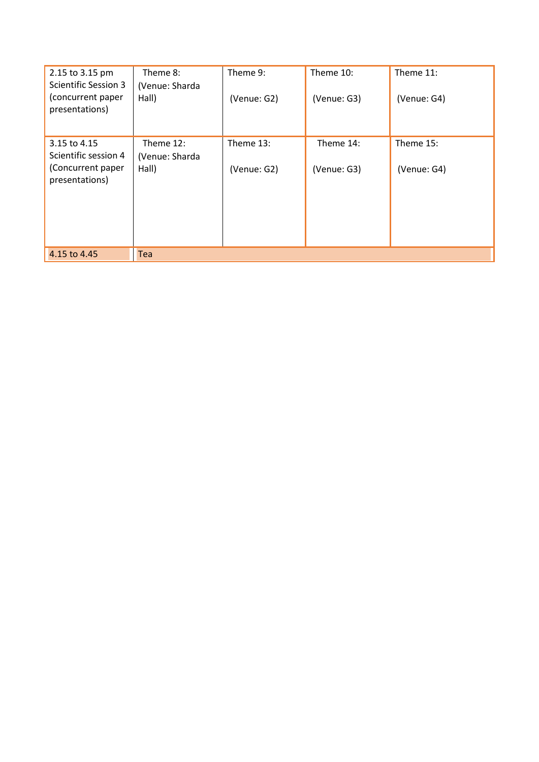| 2.15 to 3.15 pm<br><b>Scientific Session 3</b> | Theme 8:<br>(Venue: Sharda  | Theme 9:    | Theme 10:   | Theme 11:   |
|------------------------------------------------|-----------------------------|-------------|-------------|-------------|
| (concurrent paper<br>presentations)            | Hall)                       | (Venue: G2) | (Venue: G3) | (Venue: G4) |
| 3.15 to 4.15<br>Scientific session 4           | Theme 12:<br>(Venue: Sharda | Theme 13:   | Theme 14:   | Theme 15:   |
| (Concurrent paper<br>presentations)            | Hall)                       | (Venue: G2) | (Venue: G3) | (Venue: G4) |
| 4.15 to 4.45                                   | <b>Tea</b>                  |             |             |             |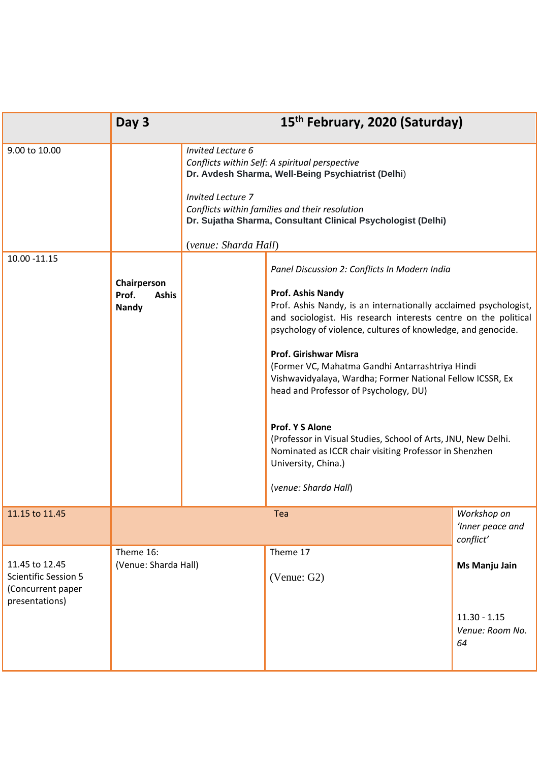|                                                                                      | Day 3                                                |                                                                                                                                                                                                                                                                                | 15 <sup>th</sup> February, 2020 (Saturday)                                                                                                                                                                                                                                                                                                                                                                                                                                                                                                                                                                                                                             |                                                          |
|--------------------------------------------------------------------------------------|------------------------------------------------------|--------------------------------------------------------------------------------------------------------------------------------------------------------------------------------------------------------------------------------------------------------------------------------|------------------------------------------------------------------------------------------------------------------------------------------------------------------------------------------------------------------------------------------------------------------------------------------------------------------------------------------------------------------------------------------------------------------------------------------------------------------------------------------------------------------------------------------------------------------------------------------------------------------------------------------------------------------------|----------------------------------------------------------|
| 9.00 to 10.00                                                                        |                                                      | <b>Invited Lecture 6</b><br>Conflicts within Self: A spiritual perspective<br>Dr. Avdesh Sharma, Well-Being Psychiatrist (Delhi)<br><b>Invited Lecture 7</b><br>Conflicts within families and their resolution<br>Dr. Sujatha Sharma, Consultant Clinical Psychologist (Delhi) |                                                                                                                                                                                                                                                                                                                                                                                                                                                                                                                                                                                                                                                                        |                                                          |
| 10.00 -11.15                                                                         | Chairperson<br>Prof.<br><b>Ashis</b><br><b>Nandy</b> | (venue: Sharda Hall)                                                                                                                                                                                                                                                           | Panel Discussion 2: Conflicts In Modern India<br>Prof. Ashis Nandy<br>Prof. Ashis Nandy, is an internationally acclaimed psychologist,<br>and sociologist. His research interests centre on the political<br>psychology of violence, cultures of knowledge, and genocide.<br><b>Prof. Girishwar Misra</b><br>(Former VC, Mahatma Gandhi Antarrashtriya Hindi<br>Vishwavidyalaya, Wardha; Former National Fellow ICSSR, Ex<br>head and Professor of Psychology, DU)<br><b>Prof. Y S Alone</b><br>(Professor in Visual Studies, School of Arts, JNU, New Delhi.<br>Nominated as ICCR chair visiting Professor in Shenzhen<br>University, China.)<br>(venue: Sharda Hall) |                                                          |
| 11.15 to 11.45                                                                       |                                                      |                                                                                                                                                                                                                                                                                | Tea                                                                                                                                                                                                                                                                                                                                                                                                                                                                                                                                                                                                                                                                    | Workshop on<br>'Inner peace and<br>conflict'             |
| 11.45 to 12.45<br><b>Scientific Session 5</b><br>(Concurrent paper<br>presentations) | Theme 16:<br>(Venue: Sharda Hall)                    |                                                                                                                                                                                                                                                                                | Theme 17<br>(Venue: G2)                                                                                                                                                                                                                                                                                                                                                                                                                                                                                                                                                                                                                                                | Ms Manju Jain<br>$11.30 - 1.15$<br>Venue: Room No.<br>64 |